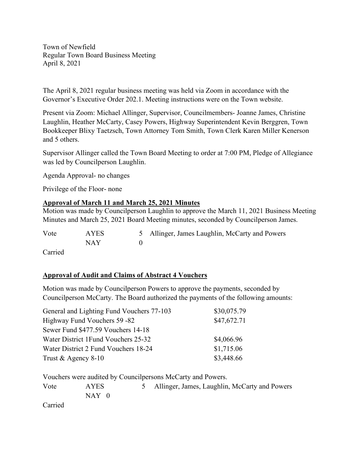Town of Newfield Regular Town Board Business Meeting April 8, 2021

The April 8, 2021 regular business meeting was held via Zoom in accordance with the Governor's Executive Order 202.1. Meeting instructions were on the Town website.

Present via Zoom: Michael Allinger, Supervisor, Councilmembers- Joanne James, Christine Laughlin, Heather McCarty, Casey Powers, Highway Superintendent Kevin Berggren, Town Bookkeeper Blixy Taetzsch, Town Attorney Tom Smith, Town Clerk Karen Miller Kenerson and 5 others.

Supervisor Allinger called the Town Board Meeting to order at 7:00 PM, Pledge of Allegiance was led by Councilperson Laughlin.

Agenda Approval- no changes

Privilege of the Floor- none

#### **Approval of March 11 and March 25, 2021 Minutes**

Motion was made by Councilperson Laughlin to approve the March 11, 2021 Business Meeting Minutes and March 25, 2021 Board Meeting minutes, seconded by Councilperson James.

Vote AYES 5 Allinger, James Laughlin, McCarty and Powers NAY 0

Carried

#### **Approval of Audit and Claims of Abstract 4 Vouchers**

Motion was made by Councilperson Powers to approve the payments, seconded by Councilperson McCarty. The Board authorized the payments of the following amounts:

| \$30,075.79 |
|-------------|
| \$47,672.71 |
|             |
| \$4,066.96  |
| \$1,715.06  |
| \$3,448.66  |
|             |

Vouchers were audited by Councilpersons McCarty and Powers.

Vote AYES 5 Allinger, James, Laughlin, McCarty and Powers NAY 0 Carried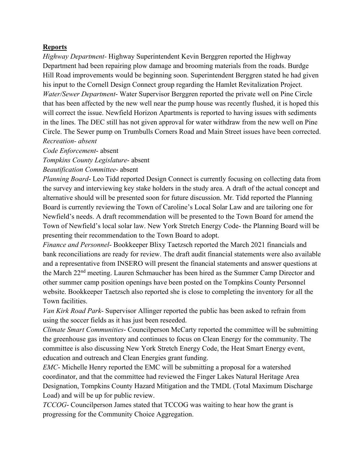#### **Reports**

*Highway Department-* Highway Superintendent Kevin Berggren reported the Highway Department had been repairing plow damage and brooming materials from the roads. Burdge Hill Road improvements would be beginning soon. Superintendent Berggren stated he had given his input to the Cornell Design Connect group regarding the Hamlet Revitalization Project. *Water/Sewer Department*- Water Supervisor Berggren reported the private well on Pine Circle that has been affected by the new well near the pump house was recently flushed, it is hoped this will correct the issue. Newfield Horizon Apartments is reported to having issues with sediments in the lines. The DEC still has not given approval for water withdraw from the new well on Pine Circle. The Sewer pump on Trumbulls Corners Road and Main Street issues have been corrected. *Recreation- absent*

*Code Enforcement*- absent

*Tompkins County Legislature*- absent

*Beautification Committee*- absent

*Planning Board*- Leo Tidd reported Design Connect is currently focusing on collecting data from the survey and interviewing key stake holders in the study area. A draft of the actual concept and alternative should will be presented soon for future discussion. Mr. Tidd reported the Planning Board is currently reviewing the Town of Caroline's Local Solar Law and are tailoring one for Newfield's needs. A draft recommendation will be presented to the Town Board for amend the Town of Newfield's local solar law. New York Stretch Energy Code- the Planning Board will be presenting their recommendation to the Town Board to adopt.

*Finance and Personnel*- Bookkeeper Blixy Taetzsch reported the March 2021 financials and bank reconciliations are ready for review. The draft audit financial statements were also available and a representative from INSERO will present the financial statements and answer questions at the March 22nd meeting. Lauren Schmaucher has been hired as the Summer Camp Director and other summer camp position openings have been posted on the Tompkins County Personnel website. Bookkeeper Taetzsch also reported she is close to completing the inventory for all the Town facilities.

*Van Kirk Road Park*- Supervisor Allinger reported the public has been asked to refrain from using the soccer fields as it has just been reseeded.

*Climate Smart Communities*- Councilperson McCarty reported the committee will be submitting the greenhouse gas inventory and continues to focus on Clean Energy for the community. The committee is also discussing New York Stretch Energy Code, the Heat Smart Energy event, education and outreach and Clean Energies grant funding.

*EMC*- Michelle Henry reported the EMC will be submitting a proposal for a watershed coordinator, and that the committee had reviewed the Finger Lakes Natural Heritage Area Designation, Tompkins County Hazard Mitigation and the TMDL (Total Maximum Discharge Load) and will be up for public review.

*TCCOG*- Councilperson James stated that TCCOG was waiting to hear how the grant is progressing for the Community Choice Aggregation.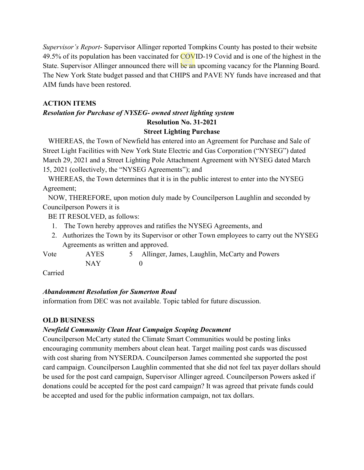*Supervisor's Report*- Supervisor Allinger reported Tompkins County has posted to their website 49.5% of its population has been vaccinated for COVID-19 Covid and is one of the highest in the State. Supervisor Allinger announced there will be an upcoming vacancy for the Planning Board. The New York State budget passed and that CHIPS and PAVE NY funds have increased and that AIM funds have been restored.

# **ACTION ITEMS**

# *Resolution for Purchase of NYSEG- owned street lighting system* **Resolution No. 31-2021 Street Lighting Purchase**

WHEREAS, the Town of Newfield has entered into an Agreement for Purchase and Sale of Street Light Facilities with New York State Electric and Gas Corporation ("NYSEG") dated March 29, 2021 and a Street Lighting Pole Attachment Agreement with NYSEG dated March 15, 2021 (collectively, the "NYSEG Agreements"); and

 WHEREAS, the Town determines that it is in the public interest to enter into the NYSEG Agreement;

 NOW, THEREFORE, upon motion duly made by Councilperson Laughlin and seconded by Councilperson Powers it is

BE IT RESOLVED, as follows:

- 1. The Town hereby approves and ratifies the NYSEG Agreements, and
- 2. Authorizes the Town by its Supervisor or other Town employees to carry out the NYSEG Agreements as written and approved.

Vote AYES 5 Allinger, James, Laughlin, McCarty and Powers NAY 0

Carried

# *Abandonment Resolution for Sumerton Road*

information from DEC was not available. Topic tabled for future discussion.

# **OLD BUSINESS**

# *Newfield Community Clean Heat Campaign Scoping Document*

Councilperson McCarty stated the Climate Smart Communities would be posting links encouraging community members about clean heat. Target mailing post cards was discussed with cost sharing from NYSERDA. Councilperson James commented she supported the post card campaign. Councilperson Laughlin commented that she did not feel tax payer dollars should be used for the post card campaign, Supervisor Allinger agreed. Councilperson Powers asked if donations could be accepted for the post card campaign? It was agreed that private funds could be accepted and used for the public information campaign, not tax dollars.